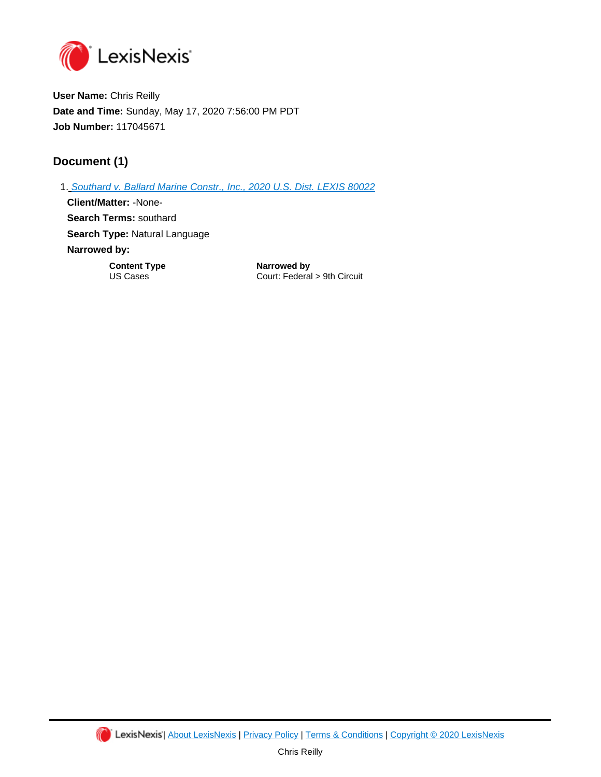

**User Name:** Chris Reilly **Date and Time:** Sunday, May 17, 2020 7:56:00 PM PDT **Job Number:** 117045671

## **Document (1)**

1. [Southard v. Ballard Marine Constr., Inc., 2020 U.S. Dist. LEXIS 80022](https://advance.lexis.com/api/document?id=urn:contentItem:5YV9-NX91-JNY7-X1BH-00000-00&idtype=PID&context=1000516) **Client/Matter:** -None-**Search Terms:** southard **Search Type:** Natural Language **Narrowed by: Content Type <b>Narrowed by**<br>
US Cases **Court: Federa** Court: Federal > 9th Circuit

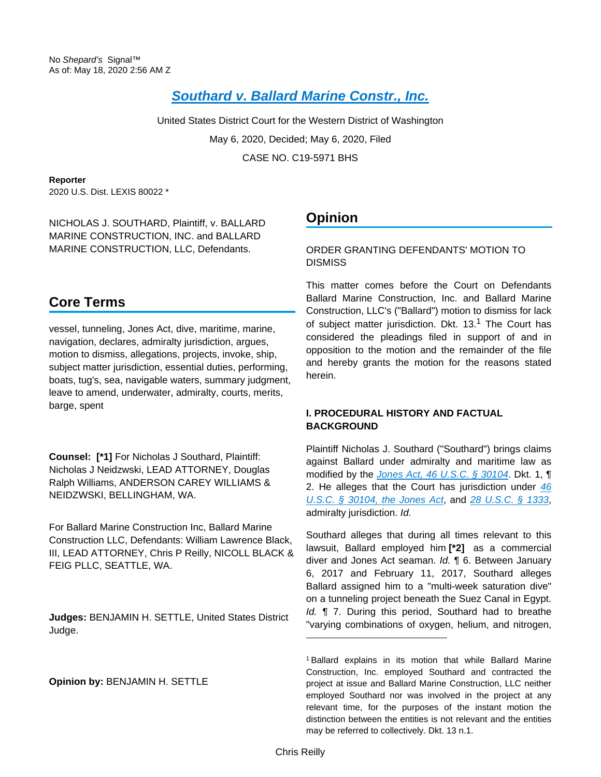# **[Southard v. Ballard Marine Constr., Inc.](https://advance.lexis.com/api/document?collection=cases&id=urn:contentItem:5YV9-NX91-JNY7-X1BH-00000-00&context=)**

United States District Court for the Western District of Washington May 6, 2020, Decided; May 6, 2020, Filed CASE NO. C19-5971 BHS

**Reporter**

2020 U.S. Dist. LEXIS 80022 \*

NICHOLAS J. SOUTHARD, Plaintiff, v. BALLARD MARINE CONSTRUCTION, INC. and BALLARD MARINE CONSTRUCTION, LLC, Defendants.

# **Core Terms**

vessel, tunneling, Jones Act, dive, maritime, marine, navigation, declares, admiralty jurisdiction, argues, motion to dismiss, allegations, projects, invoke, ship, subject matter jurisdiction, essential duties, performing, boats, tug's, sea, navigable waters, summary judgment, leave to amend, underwater, admiralty, courts, merits, barge, spent

**Counsel: [\*1]** For Nicholas J Southard, Plaintiff: Nicholas J Neidzwski, LEAD ATTORNEY, Douglas Ralph Williams, ANDERSON CAREY WILLIAMS & NEIDZWSKI, BELLINGHAM, WA.

For Ballard Marine Construction Inc, Ballard Marine Construction LLC, Defendants: William Lawrence Black, III, LEAD ATTORNEY, Chris P Reilly, NICOLL BLACK & FEIG PLLC, SEATTLE, WA.

**Judges:** BENJAMIN H. SETTLE, United States District Judge.

**Opinion by:** BENJAMIN H. SETTLE

# **Opinion**

ORDER GRANTING DEFENDANTS' MOTION TO **DISMISS** 

This matter comes before the Court on Defendants Ballard Marine Construction, Inc. and Ballard Marine Construction, LLC's ("Ballard") motion to dismiss for lack of subject matter jurisdiction. Dkt. 13.<sup>1</sup> The Court has considered the pleadings filed in support of and in opposition to the motion and the remainder of the file and hereby grants the motion for the reasons stated herein.

## **I. PROCEDURAL HISTORY AND FACTUAL BACKGROUND**

Plaintiff Nicholas J. Southard ("Southard") brings claims against Ballard under admiralty and maritime law as modified by the *[Jones Act, 46 U.S.C. § 30104](https://advance.lexis.com/api/document?collection=statutes-legislation&id=urn:contentItem:8SDD-0M72-D6RV-H3FV-00000-00&context=)*. Dkt. 1, ¶ 2. He alleges that the Court has jurisdiction under  $46$ [U.S.C. § 30104, the Jones Act](https://advance.lexis.com/api/document?collection=statutes-legislation&id=urn:contentItem:8SDD-0M72-D6RV-H3FV-00000-00&context=), and [28 U.S.C. § 1333](https://advance.lexis.com/api/document?collection=statutes-legislation&id=urn:contentItem:8SG9-5HW2-D6RV-H0G5-00000-00&context=), admiralty jurisdiction. Id.

Southard alleges that during all times relevant to this lawsuit, Ballard employed him **[\*2]** as a commercial diver and Jones Act seaman. Id. ¶ 6. Between January 6, 2017 and February 11, 2017, Southard alleges Ballard assigned him to a "multi-week saturation dive" on a tunneling project beneath the Suez Canal in Egypt. Id.  $\P$  7. During this period, Southard had to breathe "varying combinations of oxygen, helium, and nitrogen,

<sup>1</sup> Ballard explains in its motion that while Ballard Marine Construction, Inc. employed Southard and contracted the project at issue and Ballard Marine Construction, LLC neither employed Southard nor was involved in the project at any relevant time, for the purposes of the instant motion the distinction between the entities is not relevant and the entities may be referred to collectively. Dkt. 13 n.1.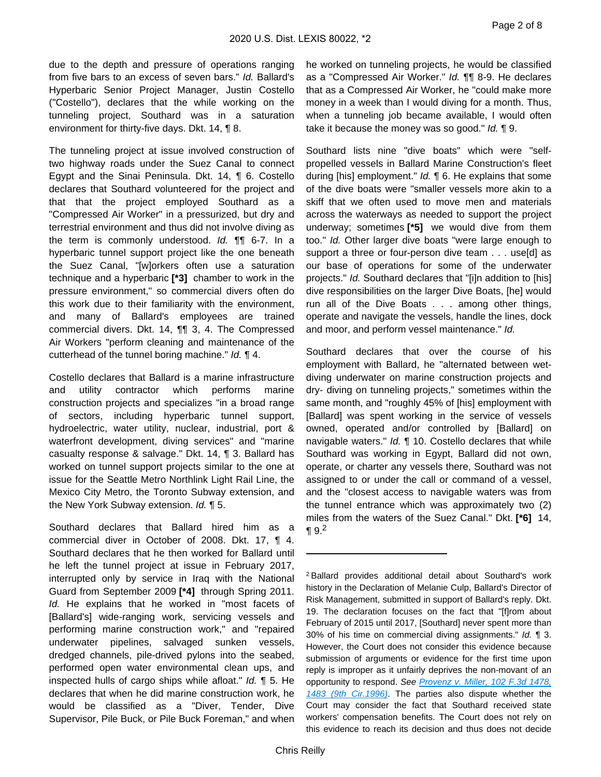due to the depth and pressure of operations ranging from five bars to an excess of seven bars." Id. Ballard's Hyperbaric Senior Project Manager, Justin Costello ("Costello"), declares that the while working on the tunneling project, Southard was in a saturation environment for thirty-five days. Dkt. 14, ¶ 8.

The tunneling project at issue involved construction of two highway roads under the Suez Canal to connect Egypt and the Sinai Peninsula. Dkt. 14, ¶ 6. Costello declares that Southard volunteered for the project and that that the project employed Southard as a "Compressed Air Worker" in a pressurized, but dry and terrestrial environment and thus did not involve diving as the term is commonly understood. Id. ¶¶ 6-7. In a hyperbaric tunnel support project like the one beneath the Suez Canal, "[w]orkers often use a saturation technique and a hyperbaric **[\*3]** chamber to work in the pressure environment," so commercial divers often do this work due to their familiarity with the environment, and many of Ballard's employees are trained commercial divers. Dkt. 14, ¶¶ 3, 4. The Compressed Air Workers "perform cleaning and maintenance of the cutterhead of the tunnel boring machine." Id. ¶ 4.

Costello declares that Ballard is a marine infrastructure and utility contractor which performs marine construction projects and specializes "in a broad range of sectors, including hyperbaric tunnel support, hydroelectric, water utility, nuclear, industrial, port & waterfront development, diving services" and "marine casualty response & salvage." Dkt. 14, ¶ 3. Ballard has worked on tunnel support projects similar to the one at issue for the Seattle Metro Northlink Light Rail Line, the Mexico City Metro, the Toronto Subway extension, and the New York Subway extension. Id. 15.

Southard declares that Ballard hired him as a commercial diver in October of 2008. Dkt. 17, ¶ 4. Southard declares that he then worked for Ballard until he left the tunnel project at issue in February 2017, interrupted only by service in Iraq with the National Guard from September 2009 **[\*4]** through Spring 2011. Id. He explains that he worked in "most facets of [Ballard's] wide-ranging work, servicing vessels and performing marine construction work," and "repaired underwater pipelines, salvaged sunken vessels, dredged channels, pile-drived pylons into the seabed, performed open water environmental clean ups, and inspected hulls of cargo ships while afloat." Id. ¶ 5. He declares that when he did marine construction work, he would be classified as a "Diver, Tender, Dive Supervisor, Pile Buck, or Pile Buck Foreman," and when

he worked on tunneling projects, he would be classified as a "Compressed Air Worker." Id. ¶¶ 8-9. He declares that as a Compressed Air Worker, he "could make more money in a week than I would diving for a month. Thus, when a tunneling job became available, I would often take it because the money was so good."  $Id. \P$  9.

Southard lists nine "dive boats" which were "selfpropelled vessels in Ballard Marine Construction's fleet during [his] employment." *Id.* 16. He explains that some of the dive boats were "smaller vessels more akin to a skiff that we often used to move men and materials across the waterways as needed to support the project underway; sometimes **[\*5]** we would dive from them too." Id. Other larger dive boats "were large enough to support a three or four-person dive team . . . use[d] as our base of operations for some of the underwater projects." Id. Southard declares that "[i]n addition to [his] dive responsibilities on the larger Dive Boats, [he] would run all of the Dive Boats . . . among other things, operate and navigate the vessels, handle the lines, dock and moor, and perform vessel maintenance." Id.

Southard declares that over the course of his employment with Ballard, he "alternated between wetdiving underwater on marine construction projects and dry- diving on tunneling projects," sometimes within the same month, and "roughly 45% of [his] employment with [Ballard] was spent working in the service of vessels owned, operated and/or controlled by [Ballard] on navigable waters." Id. 10. Costello declares that while Southard was working in Egypt, Ballard did not own, operate, or charter any vessels there, Southard was not assigned to or under the call or command of a vessel, and the "closest access to navigable waters was from the tunnel entrance which was approximately two (2) miles from the waters of the Suez Canal." Dkt. **[\*6]** 14,  $\P 9.2$ 

<sup>2</sup>Ballard provides additional detail about Southard's work history in the Declaration of Melanie Culp, Ballard's Director of Risk Management, submitted in support of Ballard's reply. Dkt. 19. The declaration focuses on the fact that "[f]rom about February of 2015 until 2017, [Southard] never spent more than 30% of his time on commercial diving assignments." Id. ¶ 3. However, the Court does not consider this evidence because submission of arguments or evidence for the first time upon reply is improper as it unfairly deprives the non-movant of an opportunity to respond. See Provenz v. Miller, 102 F.3d 1478, [1483 \(9th Cir.1996\)](https://advance.lexis.com/api/document?collection=cases&id=urn:contentItem:3RTX-3SR0-006F-M3D9-00000-00&context=). The parties also dispute whether the Court may consider the fact that Southard received state workers' compensation benefits. The Court does not rely on this evidence to reach its decision and thus does not decide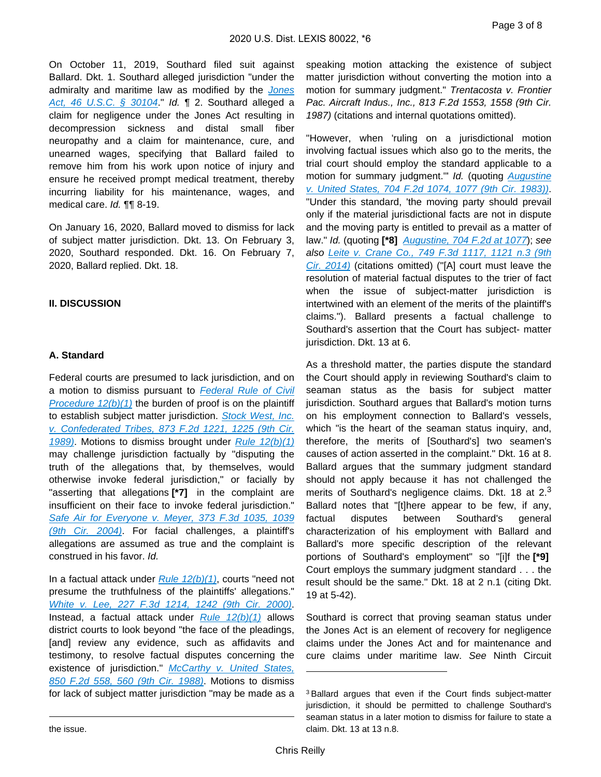On October 11, 2019, Southard filed suit against Ballard. Dkt. 1. Southard alleged jurisdiction "under the admiralty and maritime law as modified by the [Jones](https://advance.lexis.com/api/document?collection=statutes-legislation&id=urn:contentItem:8SDD-0M72-D6RV-H3FV-00000-00&context=)  [Act, 46 U.S.C. § 30104](https://advance.lexis.com/api/document?collection=statutes-legislation&id=urn:contentItem:8SDD-0M72-D6RV-H3FV-00000-00&context=)." Id. ¶ 2. Southard alleged a claim for negligence under the Jones Act resulting in decompression sickness and distal small fiber neuropathy and a claim for maintenance, cure, and unearned wages, specifying that Ballard failed to remove him from his work upon notice of injury and ensure he received prompt medical treatment, thereby incurring liability for his maintenance, wages, and medical care. Id. ¶¶ 8-19.

On January 16, 2020, Ballard moved to dismiss for lack of subject matter jurisdiction. Dkt. 13. On February 3, 2020, Southard responded. Dkt. 16. On February 7, 2020, Ballard replied. Dkt. 18.

### **II. DISCUSSION**

#### **A. Standard**

Federal courts are presumed to lack jurisdiction, and on a motion to dismiss pursuant to [Federal Rule of Civil](https://advance.lexis.com/api/document?collection=statutes-legislation&id=urn:contentItem:5GYC-1WP1-6N19-F0YW-00000-00&context=)  Procedure  $12(b)(1)$  the burden of proof is on the plaintiff to establish subject matter jurisdiction. **Stock West**, Inc. [v. Confederated Tribes, 873 F.2d 1221, 1225 \(9th Cir.](https://advance.lexis.com/api/document?collection=cases&id=urn:contentItem:3S4X-C9G0-003B-50NN-00000-00&context=)  [1989\)](https://advance.lexis.com/api/document?collection=cases&id=urn:contentItem:3S4X-C9G0-003B-50NN-00000-00&context=). Motions to dismiss brought under Rule  $12(b)(1)$ may challenge jurisdiction factually by "disputing the truth of the allegations that, by themselves, would otherwise invoke federal jurisdiction," or facially by "asserting that allegations **[\*7]** in the complaint are insufficient on their face to invoke federal jurisdiction." Safe Air for Everyone v. Meyer, 373 F.3d 1035, 1039 [\(9th Cir. 2004\)](https://advance.lexis.com/api/document?collection=cases&id=urn:contentItem:4CRY-X2W0-0038-X00C-00000-00&context=). For facial challenges, a plaintiff's allegations are assumed as true and the complaint is construed in his favor. Id.

In a factual attack under  $Rule 12(b)(1)$ , courts "need not presume the truthfulness of the plaintiffs' allegations." [White v. Lee, 227 F.3d 1214, 1242 \(9th Cir. 2000\)](https://advance.lexis.com/api/document?collection=cases&id=urn:contentItem:4195-1SP0-0038-X1NW-00000-00&context=). Instead, a factual attack under  $Rule 12(b)(1)$  allows district courts to look beyond "the face of the pleadings, [and] review any evidence, such as affidavits and testimony, to resolve factual disputes concerning the existence of jurisdiction." McCarthy v. United States, [850 F.2d 558, 560 \(9th Cir. 1988\)](https://advance.lexis.com/api/document?collection=cases&id=urn:contentItem:3S4X-0BG0-001B-K181-00000-00&context=). Motions to dismiss for lack of subject matter jurisdiction "may be made as a speaking motion attacking the existence of subject matter jurisdiction without converting the motion into a motion for summary judgment." Trentacosta v. Frontier Pac. Aircraft Indus., Inc., 813 F.2d 1553, 1558 (9th Cir. 1987) (citations and internal quotations omitted).

"However, when 'ruling on a jurisdictional motion involving factual issues which also go to the merits, the trial court should employ the standard applicable to a motion for summary judgment." Id. (quoting Augustine [v. United States, 704 F.2d 1074, 1077 \(9th Cir. 1983\)\)](https://advance.lexis.com/api/document?collection=cases&id=urn:contentItem:3S4X-0B10-003B-G09B-00000-00&context=). "Under this standard, 'the moving party should prevail only if the material jurisdictional facts are not in dispute and the moving party is entitled to prevail as a matter of law." Id. (quoting **[\*8]** [Augustine, 704 F.2d at 1077](https://advance.lexis.com/api/document?collection=cases&id=urn:contentItem:3S4X-0B10-003B-G09B-00000-00&context=)); see also [Leite v. Crane Co., 749 F.3d 1117, 1121 n.3 \(9th](https://advance.lexis.com/api/document?collection=cases&id=urn:contentItem:5C2D-DYT1-F04K-V0DX-00000-00&context=)  [Cir. 2014\)](https://advance.lexis.com/api/document?collection=cases&id=urn:contentItem:5C2D-DYT1-F04K-V0DX-00000-00&context=) (citations omitted) ("[A] court must leave the resolution of material factual disputes to the trier of fact when the issue of subject-matter jurisdiction is intertwined with an element of the merits of the plaintiff's claims."). Ballard presents a factual challenge to Southard's assertion that the Court has subject- matter jurisdiction. Dkt. 13 at 6.

As a threshold matter, the parties dispute the standard the Court should apply in reviewing Southard's claim to seaman status as the basis for subject matter jurisdiction. Southard argues that Ballard's motion turns on his employment connection to Ballard's vessels, which "is the heart of the seaman status inquiry, and, therefore, the merits of [Southard's] two seamen's causes of action asserted in the complaint." Dkt. 16 at 8. Ballard argues that the summary judgment standard should not apply because it has not challenged the merits of Southard's negligence claims. Dkt. 18 at  $2<sup>3</sup>$ Ballard notes that "[t]here appear to be few, if any, factual disputes between Southard's general characterization of his employment with Ballard and Ballard's more specific description of the relevant portions of Southard's employment" so "[i]f the **[\*9]**  Court employs the summary judgment standard . . . the result should be the same." Dkt. 18 at 2 n.1 (citing Dkt. 19 at 5-42).

Southard is correct that proving seaman status under the Jones Act is an element of recovery for negligence claims under the Jones Act and for maintenance and cure claims under maritime law. See Ninth Circuit

<sup>3</sup>Ballard argues that even if the Court finds subject-matter jurisdiction, it should be permitted to challenge Southard's seaman status in a later motion to dismiss for failure to state a claim. Dkt. 13 at 13 n.8.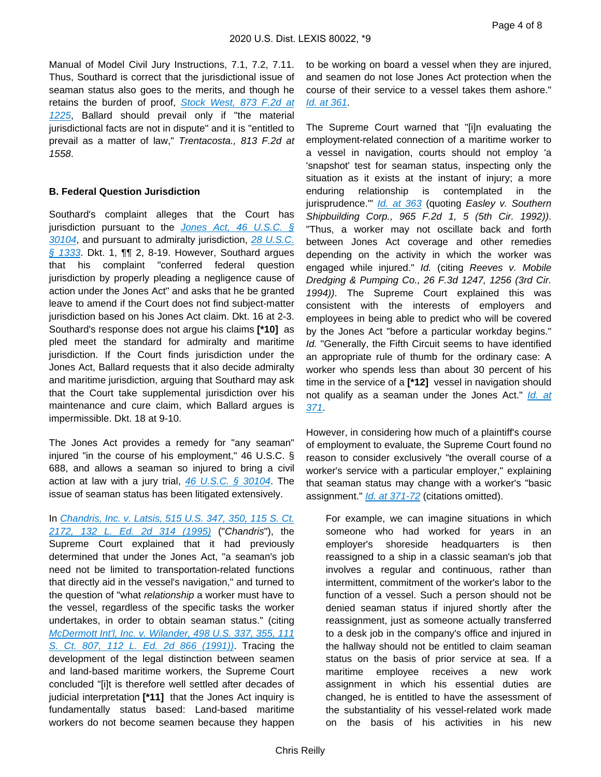Manual of Model Civil Jury Instructions, 7.1, 7.2, 7.11. Thus, Southard is correct that the jurisdictional issue of seaman status also goes to the merits, and though he retains the burden of proof, Stock West, 873 F.2d at [1225](https://advance.lexis.com/api/document?collection=cases&id=urn:contentItem:3S4X-C9G0-003B-50NN-00000-00&context=), Ballard should prevail only if "the material jurisdictional facts are not in dispute" and it is "entitled to prevail as a matter of law," Trentacosta., 813 F.2d at 1558.

#### **B. Federal Question Jurisdiction**

Southard's complaint alleges that the Court has jurisdiction pursuant to the *Jones Act*, 46 U.S.C.  $\oint$ [30104](https://advance.lexis.com/api/document?collection=statutes-legislation&id=urn:contentItem:8SDD-0M72-D6RV-H3FV-00000-00&context=), and pursuant to admiralty jurisdiction, [28 U.S.C.](https://advance.lexis.com/api/document?collection=statutes-legislation&id=urn:contentItem:8SG9-5HW2-D6RV-H0G5-00000-00&context=)  [§ 1333](https://advance.lexis.com/api/document?collection=statutes-legislation&id=urn:contentItem:8SG9-5HW2-D6RV-H0G5-00000-00&context=). Dkt. 1, ¶¶ 2, 8-19. However, Southard argues that his complaint "conferred federal question jurisdiction by properly pleading a negligence cause of action under the Jones Act" and asks that he be granted leave to amend if the Court does not find subject-matter jurisdiction based on his Jones Act claim. Dkt. 16 at 2-3. Southard's response does not argue his claims **[\*10]** as pled meet the standard for admiralty and maritime jurisdiction. If the Court finds jurisdiction under the Jones Act, Ballard requests that it also decide admiralty and maritime jurisdiction, arguing that Southard may ask that the Court take supplemental jurisdiction over his maintenance and cure claim, which Ballard argues is impermissible. Dkt. 18 at 9-10.

The Jones Act provides a remedy for "any seaman" injured "in the course of his employment," 46 U.S.C. § 688, and allows a seaman so injured to bring a civil action at law with a jury trial,  $46$  U.S.C. § 30104. The issue of seaman status has been litigated extensively.

In [Chandris, Inc. v. Latsis, 515 U.S. 347, 350, 115 S. Ct.](https://advance.lexis.com/api/document?collection=cases&id=urn:contentItem:3S0D-H5P0-003B-R24V-00000-00&context=)  [2172, 132 L. Ed. 2d 314 \(1995\)](https://advance.lexis.com/api/document?collection=cases&id=urn:contentItem:3S0D-H5P0-003B-R24V-00000-00&context=) ("Chandris"), the Supreme Court explained that it had previously determined that under the Jones Act, "a seaman's job need not be limited to transportation-related functions that directly aid in the vessel's navigation," and turned to the question of "what relationship a worker must have to the vessel, regardless of the specific tasks the worker undertakes, in order to obtain seaman status." (citing [McDermott Int'l, Inc. v. Wilander, 498 U.S. 337, 355, 111](https://advance.lexis.com/api/document?collection=cases&id=urn:contentItem:3S65-KVX0-003B-R3FM-00000-00&context=)  [S. Ct. 807, 112 L. Ed. 2d 866 \(1991\)\)](https://advance.lexis.com/api/document?collection=cases&id=urn:contentItem:3S65-KVX0-003B-R3FM-00000-00&context=). Tracing the development of the legal distinction between seamen and land-based maritime workers, the Supreme Court concluded "[i]t is therefore well settled after decades of judicial interpretation **[\*11]** that the Jones Act inquiry is fundamentally status based: Land-based maritime workers do not become seamen because they happen

to be working on board a vessel when they are injured, and seamen do not lose Jones Act protection when the course of their service to a vessel takes them ashore." [Id. at 361](https://advance.lexis.com/api/document?collection=cases&id=urn:contentItem:3S0D-H5P0-003B-R24V-00000-00&context=).

The Supreme Court warned that "[i]n evaluating the employment-related connection of a maritime worker to a vessel in navigation, courts should not employ 'a 'snapshot' test for seaman status, inspecting only the situation as it exists at the instant of injury; a more enduring relationship is contemplated in the jurisprudence." [Id. at 363](https://advance.lexis.com/api/document?collection=cases&id=urn:contentItem:3S0D-H5P0-003B-R24V-00000-00&context=) (quoting Easley v. Southern Shipbuilding Corp., 965 F.2d 1, 5 (5th Cir. 1992)). "Thus, a worker may not oscillate back and forth between Jones Act coverage and other remedies depending on the activity in which the worker was engaged while injured." Id. (citing Reeves v. Mobile Dredging & Pumping Co., 26 F.3d 1247, 1256 (3rd Cir. 1994)). The Supreme Court explained this was consistent with the interests of employers and employees in being able to predict who will be covered by the Jones Act "before a particular workday begins." Id. "Generally, the Fifth Circuit seems to have identified an appropriate rule of thumb for the ordinary case: A worker who spends less than about 30 percent of his time in the service of a **[\*12]** vessel in navigation should not qualify as a seaman under the Jones Act." Id. at [371](https://advance.lexis.com/api/document?collection=cases&id=urn:contentItem:3S0D-H5P0-003B-R24V-00000-00&context=).

However, in considering how much of a plaintiff's course of employment to evaluate, the Supreme Court found no reason to consider exclusively "the overall course of a worker's service with a particular employer," explaining that seaman status may change with a worker's "basic assignment." *[Id. at 371-72](https://advance.lexis.com/api/document?collection=cases&id=urn:contentItem:3S0D-H5P0-003B-R24V-00000-00&context=)* (citations omitted).

For example, we can imagine situations in which someone who had worked for years in an employer's shoreside headquarters is then reassigned to a ship in a classic seaman's job that involves a regular and continuous, rather than intermittent, commitment of the worker's labor to the function of a vessel. Such a person should not be denied seaman status if injured shortly after the reassignment, just as someone actually transferred to a desk job in the company's office and injured in the hallway should not be entitled to claim seaman status on the basis of prior service at sea. If a maritime employee receives a new work assignment in which his essential duties are changed, he is entitled to have the assessment of the substantiality of his vessel-related work made on the basis of his activities in his new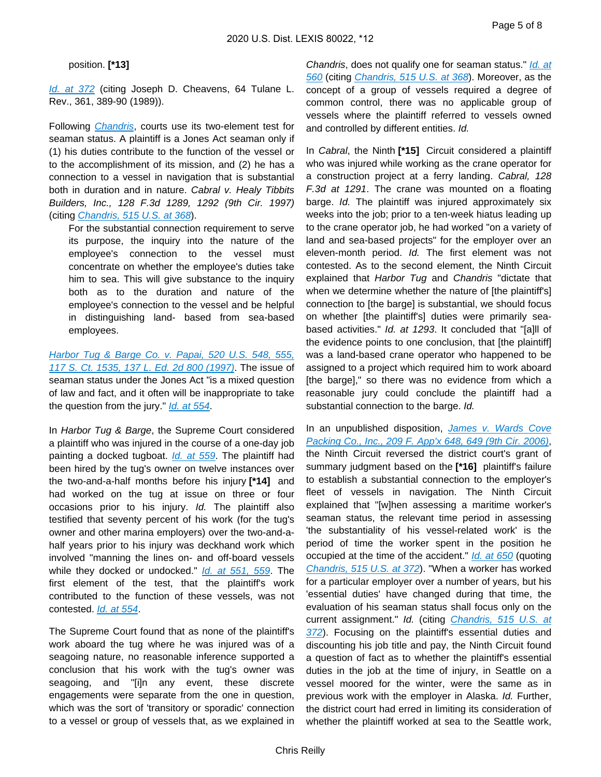#### position. **[\*13]**

[Id. at 372](https://advance.lexis.com/api/document?collection=cases&id=urn:contentItem:3S0D-H5P0-003B-R24V-00000-00&context=) (citing Joseph D. Cheavens, 64 Tulane L. Rev., 361, 389-90 (1989)).

Following *[Chandris](https://advance.lexis.com/api/document?collection=cases&id=urn:contentItem:3S0D-H5P0-003B-R24V-00000-00&context=)*, courts use its two-element test for seaman status. A plaintiff is a Jones Act seaman only if (1) his duties contribute to the function of the vessel or to the accomplishment of its mission, and (2) he has a connection to a vessel in navigation that is substantial both in duration and in nature. Cabral v. Healy Tibbits Builders, Inc., 128 F.3d 1289, 1292 (9th Cir. 1997) (citing [Chandris, 515 U.S. at 368](https://advance.lexis.com/api/document?collection=cases&id=urn:contentItem:3S0D-H5P0-003B-R24V-00000-00&context=)).

For the substantial connection requirement to serve its purpose, the inquiry into the nature of the employee's connection to the vessel must concentrate on whether the employee's duties take him to sea. This will give substance to the inquiry both as to the duration and nature of the employee's connection to the vessel and be helpful in distinguishing land- based from sea-based employees.

Harbor Tug & Barge Co. v. Papai, 520 U.S. 548, 555, [117 S. Ct. 1535, 137 L. Ed. 2d 800 \(1997\)](https://advance.lexis.com/api/document?collection=cases&id=urn:contentItem:3RV5-D4K0-003B-R4K2-00000-00&context=). The issue of seaman status under the Jones Act "is a mixed question of law and fact, and it often will be inappropriate to take the question from the jury." *[Id. at 554](https://advance.lexis.com/api/document?collection=cases&id=urn:contentItem:3RV5-D4K0-003B-R4K2-00000-00&context=)*.

In Harbor Tug & Barge, the Supreme Court considered a plaintiff who was injured in the course of a one-day job painting a docked tugboat. *[Id. at 559](https://advance.lexis.com/api/document?collection=cases&id=urn:contentItem:3RV5-D4K0-003B-R4K2-00000-00&context=)*. The plaintiff had been hired by the tug's owner on twelve instances over the two-and-a-half months before his injury **[\*14]** and had worked on the tug at issue on three or four occasions prior to his injury. Id. The plaintiff also testified that seventy percent of his work (for the tug's owner and other marina employers) over the two-and-ahalf years prior to his injury was deckhand work which involved "manning the lines on- and off-board vessels while they docked or undocked." *[Id. at 551, 559](https://advance.lexis.com/api/document?collection=cases&id=urn:contentItem:3RV5-D4K0-003B-R4K2-00000-00&context=)*. The first element of the test, that the plaintiff's work contributed to the function of these vessels, was not contested. [Id. at 554](https://advance.lexis.com/api/document?collection=cases&id=urn:contentItem:3RV5-D4K0-003B-R4K2-00000-00&context=).

The Supreme Court found that as none of the plaintiff's work aboard the tug where he was injured was of a seagoing nature, no reasonable inference supported a conclusion that his work with the tug's owner was seagoing, and "[i]n any event, these discrete engagements were separate from the one in question, which was the sort of 'transitory or sporadic' connection to a vessel or group of vessels that, as we explained in

Chandris, does not qualify one for seaman status." Id. at [560](https://advance.lexis.com/api/document?collection=cases&id=urn:contentItem:3RV5-D4K0-003B-R4K2-00000-00&context=) (citing [Chandris, 515 U.S. at 368](https://advance.lexis.com/api/document?collection=cases&id=urn:contentItem:3S0D-H5P0-003B-R24V-00000-00&context=)). Moreover, as the concept of a group of vessels required a degree of common control, there was no applicable group of vessels where the plaintiff referred to vessels owned and controlled by different entities. Id.

In Cabral, the Ninth **[\*15]** Circuit considered a plaintiff who was injured while working as the crane operator for a construction project at a ferry landing. Cabral, 128 F.3d at 1291. The crane was mounted on a floating barge. Id. The plaintiff was injured approximately six weeks into the job; prior to a ten-week hiatus leading up to the crane operator job, he had worked "on a variety of land and sea-based projects" for the employer over an eleven-month period. Id. The first element was not contested. As to the second element, the Ninth Circuit explained that Harbor Tug and Chandris "dictate that when we determine whether the nature of [the plaintiff's] connection to [the barge] is substantial, we should focus on whether [the plaintiff's] duties were primarily seabased activities." Id. at 1293. It concluded that "[a]ll of the evidence points to one conclusion, that [the plaintiff] was a land-based crane operator who happened to be assigned to a project which required him to work aboard [the barge]," so there was no evidence from which a reasonable jury could conclude the plaintiff had a substantial connection to the barge. Id.

In an unpublished disposition, James v. Wards Cove [Packing Co., Inc., 209 F. App'x 648, 649 \(9th Cir. 2006\)](https://advance.lexis.com/api/document?collection=cases&id=urn:contentItem:4MGW-BJ10-TVRV-K2NB-00000-00&context=), the Ninth Circuit reversed the district court's grant of summary judgment based on the **[\*16]** plaintiff's failure to establish a substantial connection to the employer's fleet of vessels in navigation. The Ninth Circuit explained that "[w]hen assessing a maritime worker's seaman status, the relevant time period in assessing 'the substantiality of his vessel-related work' is the period of time the worker spent in the position he occupied at the time of the accident." *[Id. at 650](https://advance.lexis.com/api/document?collection=cases&id=urn:contentItem:4MGW-BJ10-TVRV-K2NB-00000-00&context=)* (quoting [Chandris, 515 U.S. at 372](https://advance.lexis.com/api/document?collection=cases&id=urn:contentItem:3S0D-H5P0-003B-R24V-00000-00&context=)). "When a worker has worked for a particular employer over a number of years, but his 'essential duties' have changed during that time, the evaluation of his seaman status shall focus only on the current assignment." Id. (citing Chandris, 515 U.S. at [372](https://advance.lexis.com/api/document?collection=cases&id=urn:contentItem:3S0D-H5P0-003B-R24V-00000-00&context=)). Focusing on the plaintiff's essential duties and discounting his job title and pay, the Ninth Circuit found a question of fact as to whether the plaintiff's essential duties in the job at the time of injury, in Seattle on a vessel moored for the winter, were the same as in previous work with the employer in Alaska. Id. Further, the district court had erred in limiting its consideration of whether the plaintiff worked at sea to the Seattle work,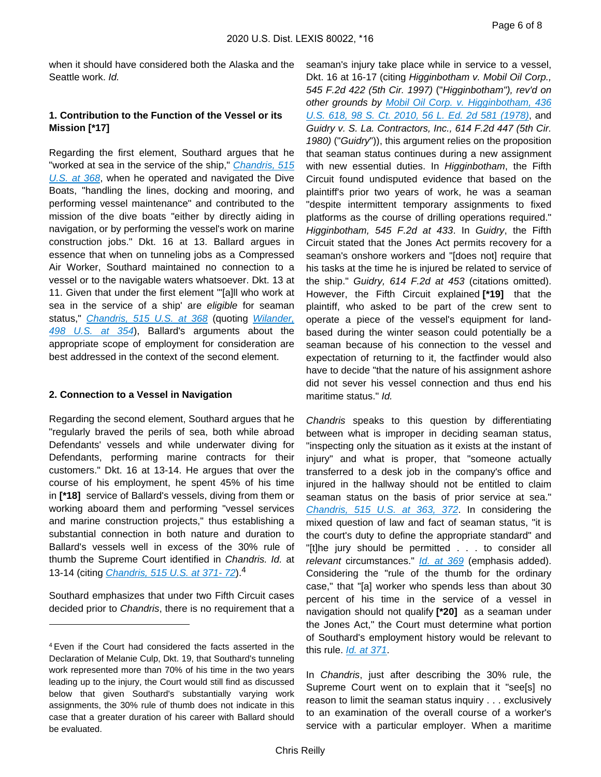when it should have considered both the Alaska and the Seattle work. Id.

## **1. Contribution to the Function of the Vessel or its Mission [\*17]**

Regarding the first element, Southard argues that he "worked at sea in the service of the ship," Chandris, 515 [U.S. at 368](https://advance.lexis.com/api/document?collection=cases&id=urn:contentItem:3S0D-H5P0-003B-R24V-00000-00&context=), when he operated and navigated the Dive Boats, "handling the lines, docking and mooring, and performing vessel maintenance" and contributed to the mission of the dive boats "either by directly aiding in navigation, or by performing the vessel's work on marine construction jobs." Dkt. 16 at 13. Ballard argues in essence that when on tunneling jobs as a Compressed Air Worker, Southard maintained no connection to a vessel or to the navigable waters whatsoever. Dkt. 13 at 11. Given that under the first element "'[a]ll who work at sea in the service of a ship' are eligible for seaman status," [Chandris, 515 U.S. at 368](https://advance.lexis.com/api/document?collection=cases&id=urn:contentItem:3S0D-H5P0-003B-R24V-00000-00&context=) (quoting Wilander, [498 U.S. at 354](https://advance.lexis.com/api/document?collection=cases&id=urn:contentItem:3S65-KVX0-003B-R3FM-00000-00&context=)), Ballard's arguments about the appropriate scope of employment for consideration are best addressed in the context of the second element.

### **2. Connection to a Vessel in Navigation**

Regarding the second element, Southard argues that he "regularly braved the perils of sea, both while abroad Defendants' vessels and while underwater diving for Defendants, performing marine contracts for their customers." Dkt. 16 at 13-14. He argues that over the course of his employment, he spent 45% of his time in **[\*18]** service of Ballard's vessels, diving from them or working aboard them and performing "vessel services and marine construction projects," thus establishing a substantial connection in both nature and duration to Ballard's vessels well in excess of the 30% rule of thumb the Supreme Court identified in Chandris. Id. at 13-14 (citing *Chandris, 515 U.S. at 371-72*).<sup>4</sup>

Southard emphasizes that under two Fifth Circuit cases decided prior to Chandris, there is no requirement that a seaman's injury take place while in service to a vessel, Dkt. 16 at 16-17 (citing Higginbotham v. Mobil Oil Corp., 545 F.2d 422 (5th Cir. 1997) ("Higginbotham"), rev'd on other grounds by Mobil Oil Corp. v. Higginbotham, 436 [U.S. 618, 98 S. Ct. 2010, 56 L. Ed. 2d 581 \(1978\)](https://advance.lexis.com/api/document?collection=cases&id=urn:contentItem:3S4X-8SS0-003B-S1RN-00000-00&context=), and Guidry v. S. La. Contractors, Inc., 614 F.2d 447 (5th Cir. 1980) ("Guidry")), this argument relies on the proposition that seaman status continues during a new assignment with new essential duties. In Higginbotham, the Fifth Circuit found undisputed evidence that based on the plaintiff's prior two years of work, he was a seaman "despite intermittent temporary assignments to fixed platforms as the course of drilling operations required." Higginbotham, 545 F.2d at 433. In Guidry, the Fifth Circuit stated that the Jones Act permits recovery for a seaman's onshore workers and "[does not] require that his tasks at the time he is injured be related to service of the ship." Guidry, 614 F.2d at 453 (citations omitted). However, the Fifth Circuit explained **[\*19]** that the plaintiff, who asked to be part of the crew sent to operate a piece of the vessel's equipment for landbased during the winter season could potentially be a seaman because of his connection to the vessel and expectation of returning to it, the factfinder would also have to decide "that the nature of his assignment ashore did not sever his vessel connection and thus end his maritime status." Id.

Chandris speaks to this question by differentiating between what is improper in deciding seaman status, "inspecting only the situation as it exists at the instant of injury" and what is proper, that "someone actually transferred to a desk job in the company's office and injured in the hallway should not be entitled to claim seaman status on the basis of prior service at sea." [Chandris, 515 U.S. at 363, 372](https://advance.lexis.com/api/document?collection=cases&id=urn:contentItem:3S0D-H5P0-003B-R24V-00000-00&context=). In considering the mixed question of law and fact of seaman status, "it is the court's duty to define the appropriate standard" and "[t]he jury should be permitted . . . to consider all relevant circumstances." *[Id. at 369](https://advance.lexis.com/api/document?collection=cases&id=urn:contentItem:3S0D-H5P0-003B-R24V-00000-00&context=)* (emphasis added). Considering the "rule of the thumb for the ordinary case," that "[a] worker who spends less than about 30 percent of his time in the service of a vessel in navigation should not qualify **[\*20]** as a seaman under the Jones Act," the Court must determine what portion of Southard's employment history would be relevant to this rule. [Id. at 371](https://advance.lexis.com/api/document?collection=cases&id=urn:contentItem:3S0D-H5P0-003B-R24V-00000-00&context=).

In Chandris, just after describing the 30% rule, the Supreme Court went on to explain that it "see[s] no reason to limit the seaman status inquiry . . . exclusively to an examination of the overall course of a worker's service with a particular employer. When a maritime

<sup>4</sup>Even if the Court had considered the facts asserted in the Declaration of Melanie Culp, Dkt. 19, that Southard's tunneling work represented more than 70% of his time in the two years leading up to the injury, the Court would still find as discussed below that given Southard's substantially varying work assignments, the 30% rule of thumb does not indicate in this case that a greater duration of his career with Ballard should be evaluated.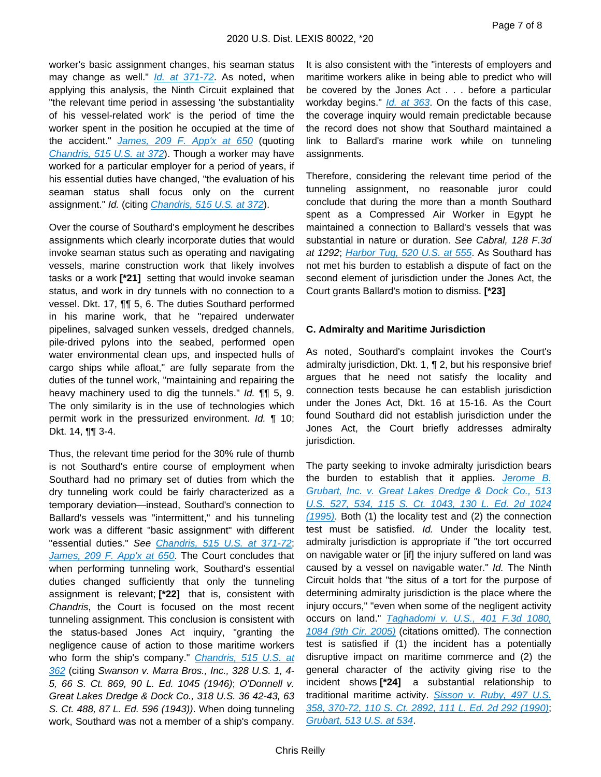worker's basic assignment changes, his seaman status may change as well." *[Id. at 371-72](https://advance.lexis.com/api/document?collection=cases&id=urn:contentItem:3S0D-H5P0-003B-R24V-00000-00&context=)*. As noted, when applying this analysis, the Ninth Circuit explained that "the relevant time period in assessing 'the substantiality of his vessel-related work' is the period of time the worker spent in the position he occupied at the time of the accident." [James, 209 F. App'x at 650](https://advance.lexis.com/api/document?collection=cases&id=urn:contentItem:4MGW-BJ10-TVRV-K2NB-00000-00&context=) (quoting [Chandris, 515 U.S. at 372](https://advance.lexis.com/api/document?collection=cases&id=urn:contentItem:3S0D-H5P0-003B-R24V-00000-00&context=)). Though a worker may have worked for a particular employer for a period of years, if his essential duties have changed, "the evaluation of his seaman status shall focus only on the current assignment." Id. (citing *[Chandris, 515 U.S. at 372](https://advance.lexis.com/api/document?collection=cases&id=urn:contentItem:3S0D-H5P0-003B-R24V-00000-00&context=)*).

Over the course of Southard's employment he describes assignments which clearly incorporate duties that would invoke seaman status such as operating and navigating vessels, marine construction work that likely involves tasks or a work **[\*21]** setting that would invoke seaman status, and work in dry tunnels with no connection to a vessel. Dkt. 17, ¶¶ 5, 6. The duties Southard performed in his marine work, that he "repaired underwater pipelines, salvaged sunken vessels, dredged channels, pile-drived pylons into the seabed, performed open water environmental clean ups, and inspected hulls of cargo ships while afloat," are fully separate from the duties of the tunnel work, "maintaining and repairing the heavy machinery used to dig the tunnels." *Id.* **[1]** 5, 9. The only similarity is in the use of technologies which permit work in the pressurized environment. Id. ¶ 10; Dkt. 14, ¶¶ 3-4.

Thus, the relevant time period for the 30% rule of thumb is not Southard's entire course of employment when Southard had no primary set of duties from which the dry tunneling work could be fairly characterized as a temporary deviation—instead, Southard's connection to Ballard's vessels was "intermittent," and his tunneling work was a different "basic assignment" with different "essential duties." See [Chandris, 515 U.S. at 371-72](https://advance.lexis.com/api/document?collection=cases&id=urn:contentItem:3S0D-H5P0-003B-R24V-00000-00&context=); [James, 209 F. App'x at 650](https://advance.lexis.com/api/document?collection=cases&id=urn:contentItem:4MGW-BJ10-TVRV-K2NB-00000-00&context=). The Court concludes that when performing tunneling work, Southard's essential duties changed sufficiently that only the tunneling assignment is relevant; **[\*22]** that is, consistent with Chandris, the Court is focused on the most recent tunneling assignment. This conclusion is consistent with the status-based Jones Act inquiry, "granting the negligence cause of action to those maritime workers who form the ship's company." Chandris, 515 U.S. at [362](https://advance.lexis.com/api/document?collection=cases&id=urn:contentItem:3S0D-H5P0-003B-R24V-00000-00&context=) (citing Swanson v. Marra Bros., Inc., 328 U.S. 1, 4- 5, 66 S. Ct. 869, 90 L. Ed. 1045 (1946); O'Donnell v. Great Lakes Dredge & Dock Co., 318 U.S. 36 42-43, 63 S. Ct. 488, 87 L. Ed. 596 (1943)). When doing tunneling work, Southard was not a member of a ship's company.

It is also consistent with the "interests of employers and maritime workers alike in being able to predict who will be covered by the Jones Act . . . before a particular workday begins." *[Id. at 363](https://advance.lexis.com/api/document?collection=cases&id=urn:contentItem:3S0D-H5P0-003B-R24V-00000-00&context=)*. On the facts of this case, the coverage inquiry would remain predictable because the record does not show that Southard maintained a link to Ballard's marine work while on tunneling assignments.

Therefore, considering the relevant time period of the tunneling assignment, no reasonable juror could conclude that during the more than a month Southard spent as a Compressed Air Worker in Egypt he maintained a connection to Ballard's vessels that was substantial in nature or duration. See Cabral, 128 F.3d at 1292; [Harbor Tug, 520 U.S. at 555](https://advance.lexis.com/api/document?collection=cases&id=urn:contentItem:3RV5-D4K0-003B-R4K2-00000-00&context=). As Southard has not met his burden to establish a dispute of fact on the second element of jurisdiction under the Jones Act, the Court grants Ballard's motion to dismiss. **[\*23]** 

### **C. Admiralty and Maritime Jurisdiction**

As noted, Southard's complaint invokes the Court's admiralty jurisdiction, Dkt. 1, ¶ 2, but his responsive brief argues that he need not satisfy the locality and connection tests because he can establish jurisdiction under the Jones Act, Dkt. 16 at 15-16. As the Court found Southard did not establish jurisdiction under the Jones Act, the Court briefly addresses admiralty jurisdiction.

The party seeking to invoke admiralty jurisdiction bears the burden to establish that it applies. Jerome B. [Grubart, Inc. v. Great Lakes Dredge & Dock Co., 513](https://advance.lexis.com/api/document?collection=cases&id=urn:contentItem:3RYB-YXY0-003B-R1KG-00000-00&context=)  [U.S. 527, 534, 115 S. Ct. 1043, 130 L. Ed. 2d 1024](https://advance.lexis.com/api/document?collection=cases&id=urn:contentItem:3RYB-YXY0-003B-R1KG-00000-00&context=)  [\(1995\)](https://advance.lexis.com/api/document?collection=cases&id=urn:contentItem:3RYB-YXY0-003B-R1KG-00000-00&context=). Both (1) the locality test and (2) the connection test must be satisfied. Id. Under the locality test, admiralty jurisdiction is appropriate if "the tort occurred on navigable water or [if] the injury suffered on land was caused by a vessel on navigable water." Id. The Ninth Circuit holds that "the situs of a tort for the purpose of determining admiralty jurisdiction is the place where the injury occurs," "even when some of the negligent activity occurs on land." Taghadomi v. U.S., 401 F.3d 1080, [1084 \(9th Cir. 2005\)](https://advance.lexis.com/api/document?collection=cases&id=urn:contentItem:4FS8-6M10-0038-X21D-00000-00&context=) (citations omitted). The connection test is satisfied if (1) the incident has a potentially disruptive impact on maritime commerce and (2) the general character of the activity giving rise to the incident shows **[\*24]** a substantial relationship to traditional maritime activity. Sisson v. Ruby, 497 U.S. [358, 370-72, 110 S. Ct. 2892, 111 L. Ed. 2d 292 \(1990\)](https://advance.lexis.com/api/document?collection=cases&id=urn:contentItem:3S4X-6380-003B-43P3-00000-00&context=); [Grubart, 513 U.S. at 534](https://advance.lexis.com/api/document?collection=cases&id=urn:contentItem:3RYB-YXY0-003B-R1KG-00000-00&context=).